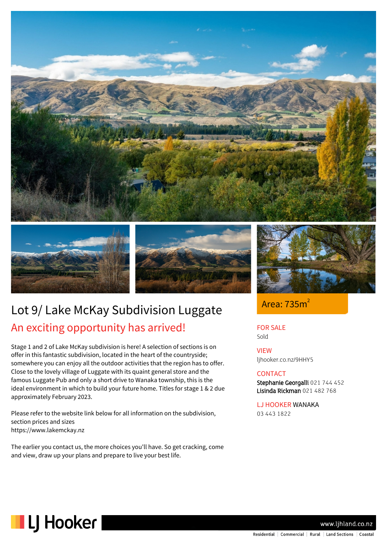





# Lot 9/ Lake McKay Subdivision Luggate An exciting opportunity has arrived!

Stage 1 and 2 of Lake McKay subdivision is here! A selection of sections is on offer in this fantastic subdivision, located in the heart of the countryside; somewhere you can enjoy all the outdoor activities that the region has to offer. Close to the lovely village of Luggate with its quaint general store and the famous Luggate Pub and only a short drive to Wanaka township, this is the ideal environment in which to build your future home. Titles for stage 1 & 2 due approximately February 2023.

Please refer to the website link below for all information on the subdivision, section prices and sizes https://www.lakemckay.nz

The earlier you contact us, the more choices you'll have. So get cracking, come and view, draw up your plans and prepare to live your best life.



Area: 735m<sup>2</sup>

FOR SALE Sold

VIEW ljhooker.co.nz/9HHY5

### **CONTACT**

Stephanie Georgalli 021 744 452 Lisinda Rickman 021 482 768

LJ HOOKER WANAKA 03 443 1822



www.lihland.co.nz